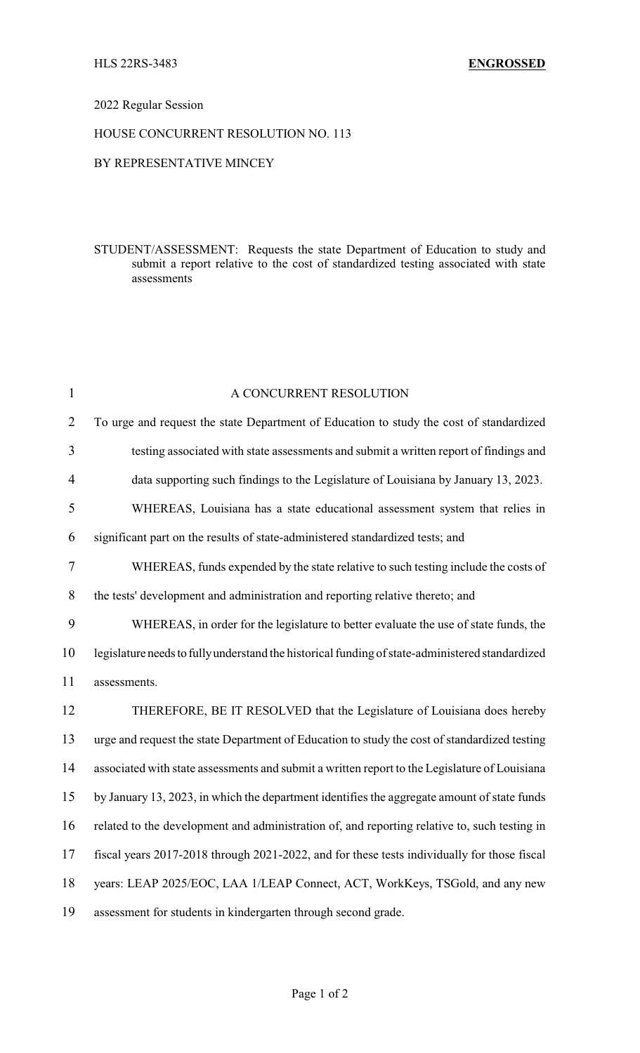# 2022 Regular Session

#### HOUSE CONCURRENT RESOLUTION NO. 113

#### BY REPRESENTATIVE MINCEY

### STUDENT/ASSESSMENT: Requests the state Department of Education to study and submit a report relative to the cost of standardized testing associated with state assessments

| $\mathbf{1}$   | A CONCURRENT RESOLUTION                                                                         |
|----------------|-------------------------------------------------------------------------------------------------|
| $\overline{2}$ | To urge and request the state Department of Education to study the cost of standardized         |
| 3              | testing associated with state assessments and submit a written report of findings and           |
| $\overline{4}$ | data supporting such findings to the Legislature of Louisiana by January 13, 2023.              |
| 5              | WHEREAS, Louisiana has a state educational assessment system that relies in                     |
| 6              | significant part on the results of state-administered standardized tests; and                   |
| $\tau$         | WHEREAS, funds expended by the state relative to such testing include the costs of              |
| 8              | the tests' development and administration and reporting relative thereto; and                   |
| 9              | WHEREAS, in order for the legislature to better evaluate the use of state funds, the            |
| 10             | legislature needs to fully understand the historical funding of state-administered standardized |
| 11             | assessments.                                                                                    |
| 12             | THEREFORE, BE IT RESOLVED that the Legislature of Louisiana does hereby                         |
| 13             | urge and request the state Department of Education to study the cost of standardized testing    |
| 14             | associated with state assessments and submit a written report to the Legislature of Louisiana   |
| 15             | by January 13, 2023, in which the department identifies the aggregate amount of state funds     |
| 16             | related to the development and administration of, and reporting relative to, such testing in    |
| 17             | fiscal years 2017-2018 through 2021-2022, and for these tests individually for those fiscal     |
| 18             | years: LEAP 2025/EOC, LAA 1/LEAP Connect, ACT, WorkKeys, TSGold, and any new                    |
| 19             | assessment for students in kindergarten through second grade.                                   |